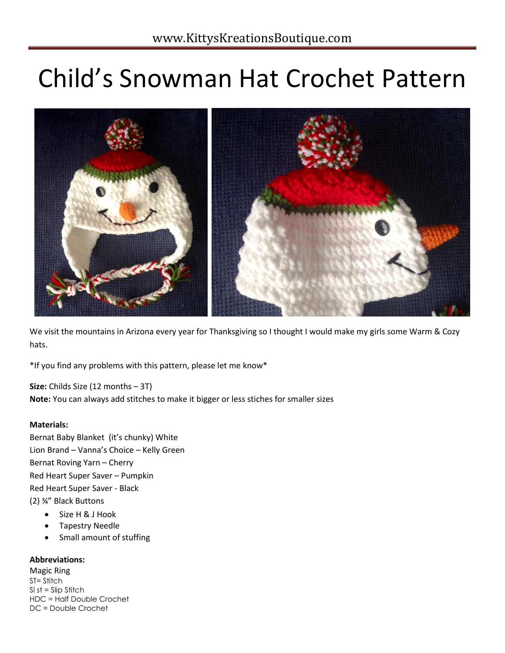# Child's Snowman Hat Crochet Pattern



We visit the mountains in Arizona every year for Thanksgiving so I thought I would make my girls some Warm & Cozy hats.

\*If you find any problems with this pattern, please let me know\*

**Size:** Childs Size (12 months – 3T) **Note:** You can always add stitches to make it bigger or less stiches for smaller sizes

## **Materials:**

Bernat Baby Blanket (it's chunky) White Lion Brand – Vanna's Choice – Kelly Green Bernat Roving Yarn – Cherry Red Heart Super Saver – Pumpkin Red Heart Super Saver - Black (2) ¾" Black Buttons

- Size H & J Hook
- Tapestry Needle
- Small amount of stuffing

## **Abbreviations:**

Magic Ring ST= Stitch  $SI$  st = Slip Stitch HDC = Half Double Crochet DC = Double Crochet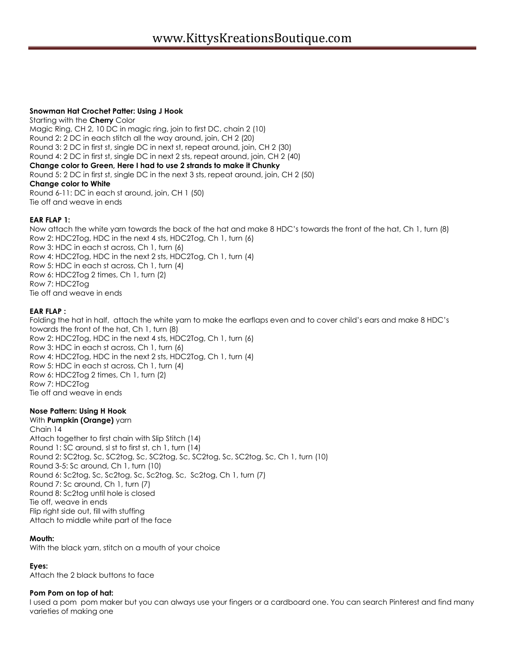#### **Snowman Hat Crochet Patter: Using J Hook**

Starting with the **Cherry** Color Magic Ring, CH 2, 10 DC in magic ring, join to first DC, chain 2 (10) Round 2: 2 DC in each stitch all the way around, join, CH 2 (20) Round 3: 2 DC in first st, single DC in next st, repeat around, join, CH 2 (30) Round 4: 2 DC in first st, single DC in next 2 sts, repeat around, join, CH 2 (40) **Change color to Green, Here I had to use 2 strands to make it Chunky** Round 5: 2 DC in first st, single DC in the next 3 sts, repeat around, join, CH 2 (50) **Change color to White** Round 6-11: DC in each st around, join, CH 1 (50) Tie off and weave in ends

## **EAR FLAP 1:**

Now attach the white yarn towards the back of the hat and make 8 HDC's towards the front of the hat, Ch 1, turn (8) Row 2: HDC2Tog, HDC in the next 4 sts, HDC2Tog, Ch 1, turn (6) Row 3: HDC in each st across, Ch 1, turn (6) Row 4: HDC2Tog, HDC in the next 2 sts, HDC2Tog, Ch 1, turn (4) Row 5: HDC in each st across, Ch 1, turn (4) Row 6: HDC2Tog 2 times, Ch 1, turn (2) Row 7: HDC2Tog Tie off and weave in ends

#### **EAR FLAP :**

Folding the hat in half, attach the white yarn to make the earflaps even and to cover child's ears and make 8 HDC's towards the front of the hat, Ch 1, turn (8) Row 2: HDC2Tog, HDC in the next 4 sts, HDC2Tog, Ch 1, turn (6) Row 3: HDC in each st across, Ch 1, turn (6) Row 4: HDC2Tog, HDC in the next 2 sts, HDC2Tog, Ch 1, turn (4) Row 5: HDC in each st across, Ch 1, turn (4) Row 6: HDC2Tog 2 times, Ch 1, turn (2) Row 7: HDC2Tog Tie off and weave in ends

## **Nose Pattern: Using H Hook**

## With **Pumpkin (Orange)** yarn

Chain 14 Attach together to first chain with Slip Stitch (14) Round 1: SC around, sl st to first st, ch 1, turn (14) Round 2: SC2tog, Sc, SC2tog, Sc, SC2tog, Sc, SC2tog, Sc, SC2tog, Sc, Ch 1, turn (10) Round 3-5: Sc around, Ch 1, turn (10) Round 6: Sc2tog, Sc, Sc2tog, Sc, Sc2tog, Sc, Sc2tog, Ch 1, turn (7) Round 7: Sc around, Ch 1, turn (7) Round 8: Sc2tog until hole is closed Tie off, weave in ends Flip right side out, fill with stuffing Attach to middle white part of the face

## **Mouth:**

With the black yarn, stitch on a mouth of your choice

## **Eyes:**

Attach the 2 black buttons to face

#### **Pom Pom on top of hat:**

I used a pom pom maker but you can always use your fingers or a cardboard one. You can search Pinterest and find many varieties of making one